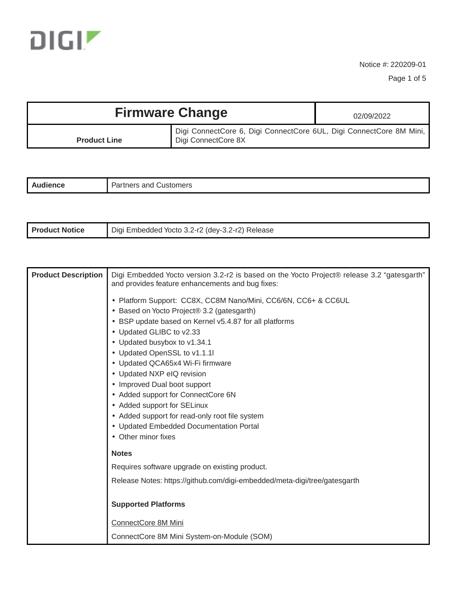

Page 1 of 5

| <b>Firmware Change</b> |                                                                                            | 02/09/2022 |
|------------------------|--------------------------------------------------------------------------------------------|------------|
| <b>Product Line</b>    | Digi ConnectCore 6, Digi ConnectCore 6UL, Digi ConnectCore 8M Mini,<br>Digi ConnectCore 8X |            |

| . | -<br>$1.30$ rtv<br>ners<br>- - -<br>and<br>. .ilistor. |
|---|--------------------------------------------------------|
|   |                                                        |

| <b>Product Notice</b> | i Embedded Yocto 3.2-r2 (dey-3.2-r2) Release<br>Diai |
|-----------------------|------------------------------------------------------|
|-----------------------|------------------------------------------------------|

| <b>Product Description</b> | Digi Embedded Yocto version 3.2-r2 is based on the Yocto Project® release 3.2 "gatesgarth"<br>and provides feature enhancements and bug fixes: |
|----------------------------|------------------------------------------------------------------------------------------------------------------------------------------------|
|                            | • Platform Support: CC8X, CC8M Nano/Mini, CC6/6N, CC6+ & CC6UL                                                                                 |
|                            | • Based on Yocto Project® 3.2 (gatesgarth)                                                                                                     |
|                            | • BSP update based on Kernel v5.4.87 for all platforms                                                                                         |
|                            | • Updated GLIBC to v2.33                                                                                                                       |
|                            | • Updated busybox to v1.34.1                                                                                                                   |
|                            | • Updated OpenSSL to v1.1.1l                                                                                                                   |
|                            | • Updated QCA65x4 Wi-Fi firmware                                                                                                               |
|                            | • Updated NXP eIQ revision                                                                                                                     |
|                            | • Improved Dual boot support<br>• Added support for ConnectCore 6N                                                                             |
|                            | • Added support for SELinux                                                                                                                    |
|                            | • Added support for read-only root file system                                                                                                 |
|                            | • Updated Embedded Documentation Portal                                                                                                        |
|                            | • Other minor fixes                                                                                                                            |
|                            | <b>Notes</b>                                                                                                                                   |
|                            | Requires software upgrade on existing product.                                                                                                 |
|                            | Release Notes: https://github.com/digi-embedded/meta-digi/tree/gatesgarth                                                                      |
|                            | <b>Supported Platforms</b>                                                                                                                     |
|                            | ConnectCore 8M Mini                                                                                                                            |
|                            | ConnectCore 8M Mini System-on-Module (SOM)                                                                                                     |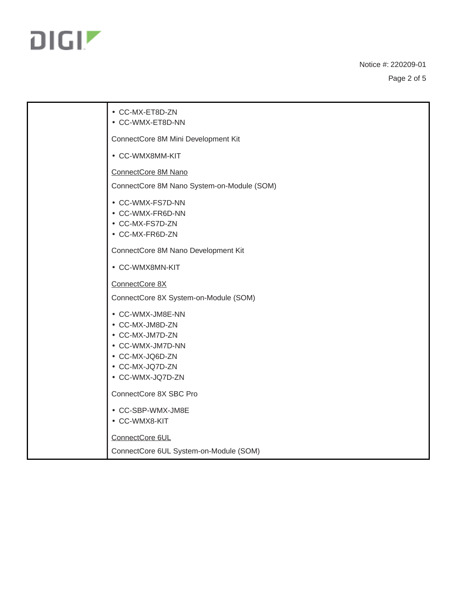

Page 2 of 5

| • CC-MX-ET8D-ZN<br>• CC-WMX-ET8D-NN                                                                                                  |
|--------------------------------------------------------------------------------------------------------------------------------------|
| ConnectCore 8M Mini Development Kit                                                                                                  |
| • CC-WMX8MM-KIT                                                                                                                      |
| ConnectCore 8M Nano                                                                                                                  |
| ConnectCore 8M Nano System-on-Module (SOM)                                                                                           |
| • CC-WMX-FS7D-NN<br>• CC-WMX-FR6D-NN<br>• CC-MX-FS7D-ZN<br>• CC-MX-FR6D-ZN                                                           |
| ConnectCore 8M Nano Development Kit                                                                                                  |
| • CC-WMX8MN-KIT                                                                                                                      |
| ConnectCore 8X                                                                                                                       |
| ConnectCore 8X System-on-Module (SOM)                                                                                                |
| • CC-WMX-JM8E-NN<br>• CC-MX-JM8D-ZN<br>• CC-MX-JM7D-ZN<br>• CC-WMX-JM7D-NN<br>• CC-MX-JQ6D-ZN<br>• CC-MX-JQ7D-ZN<br>• CC-WMX-JQ7D-ZN |
| ConnectCore 8X SBC Pro                                                                                                               |
| • CC-SBP-WMX-JM8E<br>• CC-WMX8-KIT                                                                                                   |
| ConnectCore 6UL                                                                                                                      |
| ConnectCore 6UL System-on-Module (SOM)                                                                                               |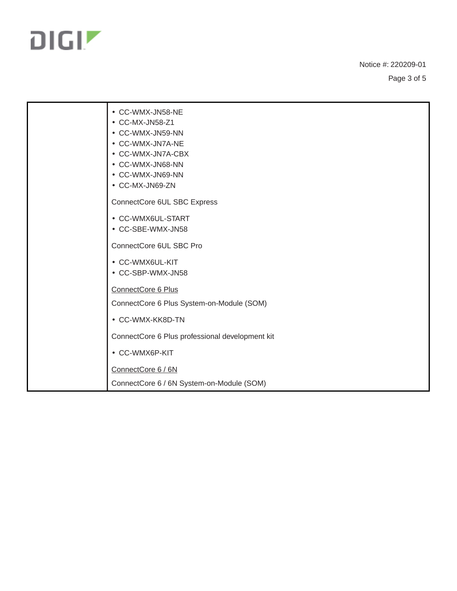

Page 3 of 5

| • CC-WMX-JN58-NE<br>• CC-MX-JN58-Z1<br>• CC-WMX-JN59-NN<br>• CC-WMX-JN7A-NE<br>• CC-WMX-JN7A-CBX<br>• CC-WMX-JN68-NN<br>• CC-WMX-JN69-NN<br>• CC-MX-JN69-ZN |
|-------------------------------------------------------------------------------------------------------------------------------------------------------------|
| ConnectCore 6UL SBC Express                                                                                                                                 |
| • CC-WMX6UL-START<br>• CC-SBE-WMX-JN58                                                                                                                      |
| ConnectCore 6UL SBC Pro                                                                                                                                     |
| • CC-WMX6UL-KIT<br>• CC-SBP-WMX-JN58                                                                                                                        |
| ConnectCore 6 Plus                                                                                                                                          |
| ConnectCore 6 Plus System-on-Module (SOM)                                                                                                                   |
| • CC-WMX-KK8D-TN                                                                                                                                            |
| ConnectCore 6 Plus professional development kit                                                                                                             |
| • CC-WMX6P-KIT                                                                                                                                              |
| ConnectCore 6 / 6N                                                                                                                                          |
| ConnectCore 6 / 6N System-on-Module (SOM)                                                                                                                   |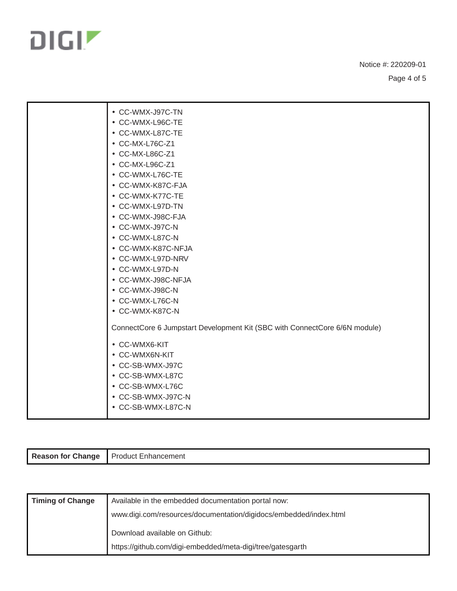

Page 4 of 5

| • CC-WMX-J97C-TN                                                           |
|----------------------------------------------------------------------------|
| • CC-WMX-L96C-TE                                                           |
| • CC-WMX-L87C-TE                                                           |
| • CC-MX-L76C-Z1                                                            |
| • CC-MX-L86C-Z1                                                            |
| • CC-MX-L96C-Z1                                                            |
| • CC-WMX-L76C-TE                                                           |
| • CC-WMX-K87C-FJA                                                          |
| • CC-WMX-K77C-TE                                                           |
| • CC-WMX-L97D-TN                                                           |
| • CC-WMX-J98C-FJA                                                          |
| • CC-WMX-J97C-N                                                            |
| • CC-WMX-L87C-N                                                            |
| • CC-WMX-K87C-NFJA                                                         |
| • CC-WMX-L97D-NRV                                                          |
| • CC-WMX-L97D-N                                                            |
| • CC-WMX-J98C-NFJA                                                         |
| • CC-WMX-J98C-N                                                            |
| • CC-WMX-L76C-N                                                            |
| • CC-WMX-K87C-N                                                            |
| ConnectCore 6 Jumpstart Development Kit (SBC with ConnectCore 6/6N module) |
| • CC-WMX6-KIT                                                              |
| • CC-WMX6N-KIT                                                             |
| • CC-SB-WMX-J97C                                                           |
| • CC-SB-WMX-L87C                                                           |
| • CC-SB-WMX-L76C                                                           |
| • CC-SB-WMX-J97C-N                                                         |
| • CC-SB-WMX-L87C-N                                                         |
|                                                                            |

| <b>Reason for Change</b> | Product Enhancement |
|--------------------------|---------------------|

| <b>Timing of Change</b> | Available in the embedded documentation portal now:               |
|-------------------------|-------------------------------------------------------------------|
|                         | www.digi.com/resources/documentation/digidocs/embedded/index.html |
|                         | Download available on Github:                                     |
|                         | https://github.com/digi-embedded/meta-digi/tree/gatesgarth        |